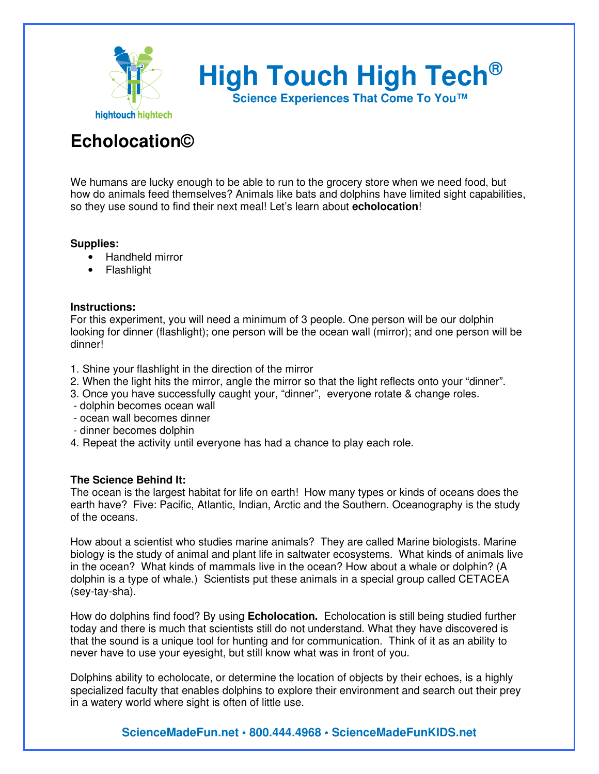

**High Touch High Tech®**

**Science Experiences That Come To You™**

# **Echolocation©**

We humans are lucky enough to be able to run to the grocery store when we need food, but how do animals feed themselves? Animals like bats and dolphins have limited sight capabilities, so they use sound to find their next meal! Let's learn about **echolocation**!

#### **Supplies:**

- Handheld mirror
- Flashlight

#### **Instructions:**

For this experiment, you will need a minimum of 3 people. One person will be our dolphin looking for dinner (flashlight); one person will be the ocean wall (mirror); and one person will be dinner!

- 1. Shine your flashlight in the direction of the mirror
- 2. When the light hits the mirror, angle the mirror so that the light reflects onto your "dinner".
- 3. Once you have successfully caught your, "dinner", everyone rotate & change roles.
- dolphin becomes ocean wall
- ocean wall becomes dinner
- dinner becomes dolphin
- 4. Repeat the activity until everyone has had a chance to play each role.

### **The Science Behind It:**

The ocean is the largest habitat for life on earth! How many types or kinds of oceans does the earth have? Five: Pacific, Atlantic, Indian, Arctic and the Southern. Oceanography is the study of the oceans.

How about a scientist who studies marine animals? They are called Marine biologists. Marine biology is the study of animal and plant life in saltwater ecosystems. What kinds of animals live in the ocean? What kinds of mammals live in the ocean? How about a whale or dolphin? (A dolphin is a type of whale.) Scientists put these animals in a special group called CETACEA (sey-tay-sha).

How do dolphins find food? By using **Echolocation.** Echolocation is still being studied further today and there is much that scientists still do not understand. What they have discovered is that the sound is a unique tool for hunting and for communication. Think of it as an ability to never have to use your eyesight, but still know what was in front of you.

Dolphins ability to echolocate, or determine the location of objects by their echoes, is a highly specialized faculty that enables dolphins to explore their environment and search out their prey in a watery world where sight is often of little use.

## **ScienceMadeFun.net • 800.444.4968 • ScienceMadeFunKIDS.net**